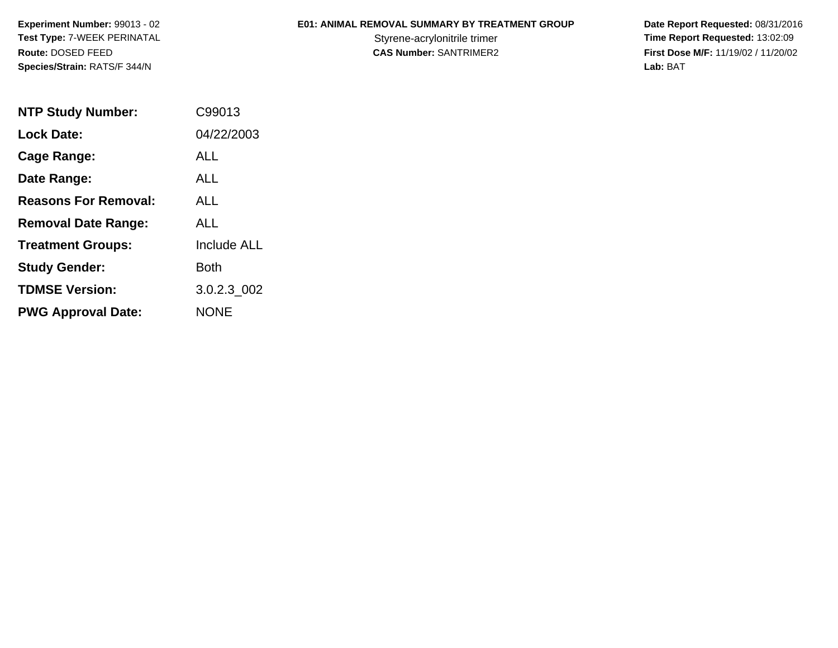**Experiment Number:** 99013 - 02**Test Type:** 7-WEEK PERINATAL**Route:** DOSED FEED**Species/Strain:** RATS/F 344/N

## **E01: ANIMAL REMOVAL SUMMARY BY TREATMENT GROUP**

 **Date Report Requested:** 08/31/2016 Styrene-acrylonitrile trimer<br> **CAS Number:** SANTRIMER2<br> **CAS Number:** SANTRIMER2<br> **Time Report Requested:** 13:02:09 **First Dose M/F:** 11/19/02 / 11/20/02<br>Lab: BAT **Lab:** BAT

| <b>NTP Study Number:</b>    | C99013             |
|-----------------------------|--------------------|
| <b>Lock Date:</b>           | 04/22/2003         |
| Cage Range:                 | ALL                |
| Date Range:                 | ALL                |
| <b>Reasons For Removal:</b> | ALL                |
| <b>Removal Date Range:</b>  | ALL                |
| <b>Treatment Groups:</b>    | <b>Include ALL</b> |
| <b>Study Gender:</b>        | Both               |
| <b>TDMSE Version:</b>       | 3.0.2.3 002        |
| <b>PWG Approval Date:</b>   | NONE               |